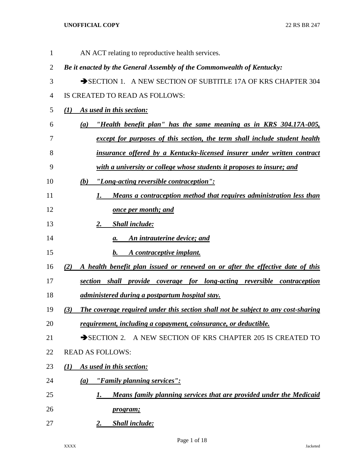| $\mathbf{1}$ | AN ACT relating to reproductive health services.                                         |
|--------------|------------------------------------------------------------------------------------------|
| 2            | Be it enacted by the General Assembly of the Commonwealth of Kentucky:                   |
| 3            | SECTION 1. A NEW SECTION OF SUBTITLE 17A OF KRS CHAPTER 304                              |
| 4            | IS CREATED TO READ AS FOLLOWS:                                                           |
| 5            | As used in this section:<br>(I)                                                          |
| 6            | "Health benefit plan" has the same meaning as in KRS 304.17A-005,<br>(a)                 |
| 7            | except for purposes of this section, the term shall include student health               |
| 8            | insurance offered by a Kentucky-licensed insurer under written contract                  |
| 9            | with a university or college whose students it proposes to insure; and                   |
| 10           | "Long-acting reversible contraception":<br>(b)                                           |
| 11           | Means a contraception method that requires administration less than<br>I.                |
| 12           | <b><u>once per month; and</u></b>                                                        |
| 13           | <b>Shall include:</b><br>2.                                                              |
| 14           | An intrauterine device; and<br>а.                                                        |
| 15           | A contraceptive implant.<br>b.                                                           |
| 16           | A health benefit plan issued or renewed on or after the effective date of this<br>(2)    |
| 17           | section shall provide coverage for long-acting reversible contraception                  |
| 18           | administered during a postpartum hospital stay.                                          |
| 19           | The coverage required under this section shall not be subject to any cost-sharing<br>(3) |
| 20           | requirement, including a copayment, coinsurance, or deductible.                          |
| 21           | SECTION 2. A NEW SECTION OF KRS CHAPTER 205 IS CREATED TO                                |
| 22           | <b>READ AS FOLLOWS:</b>                                                                  |
| 23           | As used in this section:<br>$\mathcal{L}(I)$                                             |
| 24           | "Family planning services":<br>$\left(a\right)$                                          |
| 25           | Means family planning services that are provided under the Medicaid<br>1.                |
| 26           | <i>program</i> ;                                                                         |
| 27           | <b>Shall include:</b><br>2.                                                              |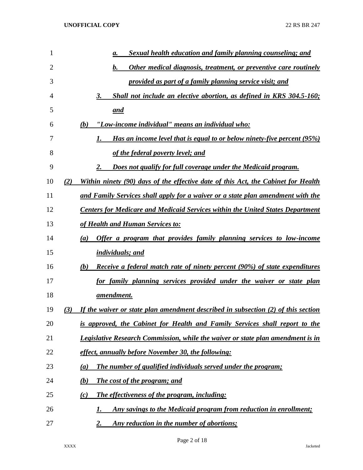| 1  | Sexual health education and family planning counseling; and<br>a.                        |
|----|------------------------------------------------------------------------------------------|
| 2  | b.<br>Other medical diagnosis, treatment, or preventive care routinely                   |
| 3  | provided as part of a family planning service visit; and                                 |
| 4  | Shall not include an elective abortion, as defined in KRS 304.5-160;<br>3.               |
| 5  | <u>and</u>                                                                               |
| 6  | "Low-income individual" means an individual who:<br>(b)                                  |
| 7  | <u>Has an income level that is equal to or below ninety-five percent (95%)</u>           |
| 8  | of the federal poverty level; and                                                        |
| 9  | Does not qualify for full coverage under the Medicaid program.<br>2.                     |
| 10 | Within ninety (90) days of the effective date of this Act, the Cabinet for Health<br>(2) |
| 11 | and Family Services shall apply for a waiver or a state plan amendment with the          |
| 12 | <b>Centers for Medicare and Medicaid Services within the United States Department</b>    |
| 13 | of Health and Human Services to:                                                         |
| 14 | Offer a program that provides family planning services to low-income<br>(a)              |
| 15 | <i>individuals; and</i>                                                                  |
| 16 | <b>Receive a federal match rate of ninety percent (90%) of state expenditures</b><br>(b) |
| 17 | for family planning services provided under the waiver or state plan                     |
| 18 | <u>amendment.</u>                                                                        |
| 19 | If the waiver or state plan amendment described in subsection (2) of this section<br>(3) |
| 20 | is approved, the Cabinet for Health and Family Services shall report to the              |
| 21 | Legislative Research Commission, while the waiver or state plan amendment is in          |
| 22 | effect, annually before November 30, the following:                                      |
| 23 | <b>The number of qualified individuals served under the program;</b><br>(a)              |
| 24 | (b)<br><b>The cost of the program; and</b>                                               |
| 25 | <b>The effectiveness of the program, including:</b><br>(c)                               |
| 26 | Any savings to the Medicaid program from reduction in enrollment;<br>1.                  |
| 27 | Any reduction in the number of abortions;<br><u>2.</u>                                   |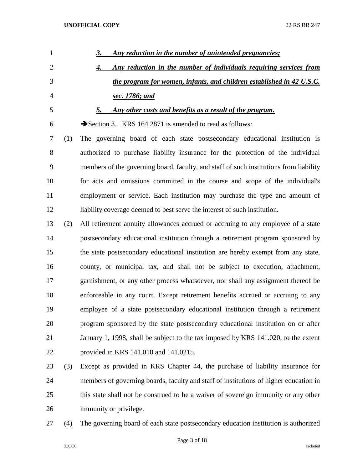| $\mathbf{1}$   |     | <u>Any reduction in the number of unintended pregnancies;</u>                          |
|----------------|-----|----------------------------------------------------------------------------------------|
| $\overline{2}$ |     | Any reduction in the number of individuals requiring services from<br>4.               |
| 3              |     | the program for women, infants, and children established in 42 U.S.C.                  |
| 4              |     | sec. 1786; and                                                                         |
| 5              |     | Any other costs and benefits as a result of the program.<br>5.                         |
| 6              |     | Section 3. KRS 164.2871 is amended to read as follows:                                 |
| 7              | (1) | The governing board of each state postsecondary educational institution is             |
| 8              |     | authorized to purchase liability insurance for the protection of the individual        |
| 9              |     | members of the governing board, faculty, and staff of such institutions from liability |
| 10             |     | for acts and omissions committed in the course and scope of the individual's           |
| 11             |     | employment or service. Each institution may purchase the type and amount of            |
| 12             |     | liability coverage deemed to best serve the interest of such institution.              |
| 13             | (2) | All retirement annuity allowances accrued or accruing to any employee of a state       |
| 14             |     | postsecondary educational institution through a retirement program sponsored by        |
| 15             |     | the state postsecondary educational institution are hereby exempt from any state,      |
| 16             |     | county, or municipal tax, and shall not be subject to execution, attachment,           |
| 17             |     | garnishment, or any other process whatsoever, nor shall any assignment thereof be      |
| 18             |     | enforceable in any court. Except retirement benefits accrued or accruing to any        |
| 19             |     | employee of a state postsecondary educational institution through a retirement         |
| 20             |     | program sponsored by the state postsecondary educational institution on or after       |
| 21             |     | January 1, 1998, shall be subject to the tax imposed by KRS 141.020, to the extent     |
| 22             |     | provided in KRS 141.010 and 141.0215.                                                  |
| 23             | (3) | Except as provided in KRS Chapter 44, the purchase of liability insurance for          |
|                |     |                                                                                        |

- members of governing boards, faculty and staff of institutions of higher education in this state shall not be construed to be a waiver of sovereign immunity or any other immunity or privilege.
- 

(4) The governing board of each state postsecondary education institution is authorized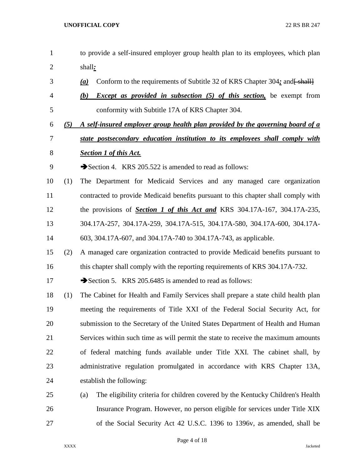- to provide a self-insured employer group health plan to its employees, which plan shall*:* 3 **(a)** Conform to the requirements of Subtitle 32 of KRS Chapter 304; and  $\frac{1}{2}$  *(b) Except as provided in subsection (5) of this section,* be exempt from conformity with Subtitle 17A of KRS Chapter 304. *(5) A self-insured employer group health plan provided by the governing board of a state postsecondary education institution to its employees shall comply with Section 1 of this Act.* 9 Section 4. KRS 205.522 is amended to read as follows: (1) The Department for Medicaid Services and any managed care organization contracted to provide Medicaid benefits pursuant to this chapter shall comply with the provisions of *Section 1 of this Act and* KRS 304.17A-167, 304.17A-235, 304.17A-257, 304.17A-259, 304.17A-515, 304.17A-580, 304.17A-600, 304.17A- 603, 304.17A-607, and 304.17A-740 to 304.17A-743, as applicable. (2) A managed care organization contracted to provide Medicaid benefits pursuant to this chapter shall comply with the reporting requirements of KRS 304.17A-732. 17 Section 5. KRS 205.6485 is amended to read as follows: (1) The Cabinet for Health and Family Services shall prepare a state child health plan meeting the requirements of Title XXI of the Federal Social Security Act, for submission to the Secretary of the United States Department of Health and Human Services within such time as will permit the state to receive the maximum amounts of federal matching funds available under Title XXI. The cabinet shall, by 23 administrative regulation promulgated in accordance with KRS Chapter 13A, establish the following: (a) The eligibility criteria for children covered by the Kentucky Children's Health Insurance Program. However, no person eligible for services under Title XIX
- of the Social Security Act 42 U.S.C. 1396 to 1396v, as amended, shall be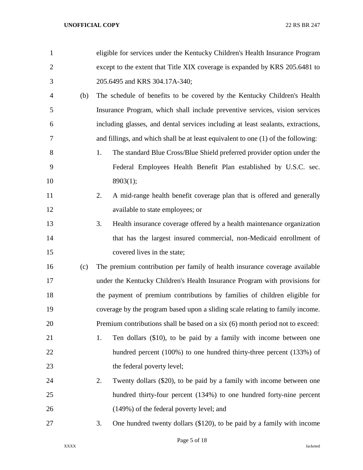| $\mathbf{1}$   |     | eligible for services under the Kentucky Children's Health Insurance Program      |
|----------------|-----|-----------------------------------------------------------------------------------|
| $\overline{2}$ |     | except to the extent that Title XIX coverage is expanded by KRS 205.6481 to       |
| 3              |     | 205.6495 and KRS 304.17A-340;                                                     |
| 4              | (b) | The schedule of benefits to be covered by the Kentucky Children's Health          |
| 5              |     | Insurance Program, which shall include preventive services, vision services       |
| 6              |     | including glasses, and dental services including at least sealants, extractions,  |
| 7              |     | and fillings, and which shall be at least equivalent to one (1) of the following: |
| 8              |     | 1.<br>The standard Blue Cross/Blue Shield preferred provider option under the     |
| 9              |     | Federal Employees Health Benefit Plan established by U.S.C. sec.                  |
| 10             |     | 8903(1);                                                                          |
| 11             |     | A mid-range health benefit coverage plan that is offered and generally<br>2.      |
| 12             |     | available to state employees; or                                                  |
| 13             |     | 3.<br>Health insurance coverage offered by a health maintenance organization      |
| 14             |     | that has the largest insured commercial, non-Medicaid enrollment of               |
| 15             |     | covered lives in the state;                                                       |
| 16             | (c) | The premium contribution per family of health insurance coverage available        |
| 17             |     | under the Kentucky Children's Health Insurance Program with provisions for        |
| 18             |     | the payment of premium contributions by families of children eligible for         |
| 19             |     | coverage by the program based upon a sliding scale relating to family income.     |
| 20             |     | Premium contributions shall be based on a six (6) month period not to exceed:     |
| 21             |     | Ten dollars (\$10), to be paid by a family with income between one<br>1.          |
| 22             |     | hundred percent (100%) to one hundred thirty-three percent (133%) of              |
| 23             |     | the federal poverty level;                                                        |
| 24             |     | 2.<br>Twenty dollars (\$20), to be paid by a family with income between one       |
| 25             |     | hundred thirty-four percent (134%) to one hundred forty-nine percent              |
| 26             |     | (149%) of the federal poverty level; and                                          |
| 27             |     | One hundred twenty dollars (\$120), to be paid by a family with income<br>3.      |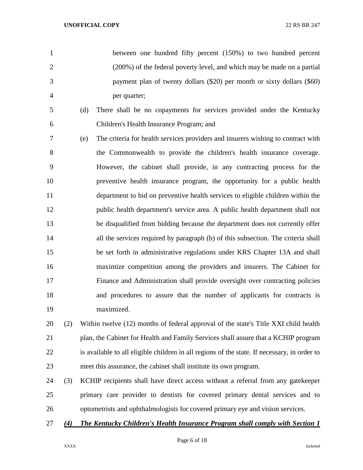between one hundred fifty percent (150%) to two hundred percent (200%) of the federal poverty level, and which may be made on a partial payment plan of twenty dollars (\$20) per month or sixty dollars (\$60) per quarter;

- (d) There shall be no copayments for services provided under the Kentucky Children's Health Insurance Program; and
- (e) The criteria for health services providers and insurers wishing to contract with the Commonwealth to provide the children's health insurance coverage. However, the cabinet shall provide, in any contracting process for the preventive health insurance program, the opportunity for a public health department to bid on preventive health services to eligible children within the public health department's service area. A public health department shall not be disqualified from bidding because the department does not currently offer all the services required by paragraph (b) of this subsection. The criteria shall be set forth in administrative regulations under KRS Chapter 13A and shall maximize competition among the providers and insurers. The Cabinet for Finance and Administration shall provide oversight over contracting policies and procedures to assure that the number of applicants for contracts is maximized.

 (2) Within twelve (12) months of federal approval of the state's Title XXI child health plan, the Cabinet for Health and Family Services shall assure that a KCHIP program is available to all eligible children in all regions of the state. If necessary, in order to meet this assurance, the cabinet shall institute its own program.

- (3) KCHIP recipients shall have direct access without a referral from any gatekeeper primary care provider to dentists for covered primary dental services and to optometrists and ophthalmologists for covered primary eye and vision services.
- *(4) The Kentucky Children's Health Insurance Program shall comply with Section 1*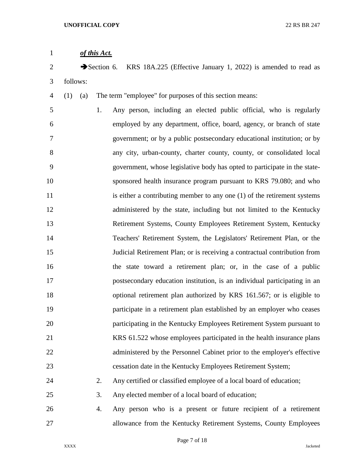| $\mathbf{1}$   |            | of this Act.             |                                                                           |
|----------------|------------|--------------------------|---------------------------------------------------------------------------|
| $\overline{2}$ |            | $\rightarrow$ Section 6. | KRS 18A.225 (Effective January 1, 2022) is amended to read as             |
| 3              | follows:   |                          |                                                                           |
| 4              | (1)<br>(a) |                          | The term "employee" for purposes of this section means:                   |
| 5              |            | 1.                       | Any person, including an elected public official, who is regularly        |
| 6              |            |                          | employed by any department, office, board, agency, or branch of state     |
| 7              |            |                          | government; or by a public postsecondary educational institution; or by   |
| 8              |            |                          | any city, urban-county, charter county, county, or consolidated local     |
| 9              |            |                          | government, whose legislative body has opted to participate in the state- |
| 10             |            |                          | sponsored health insurance program pursuant to KRS 79.080; and who        |
| 11             |            |                          | is either a contributing member to any one (1) of the retirement systems  |
| 12             |            |                          | administered by the state, including but not limited to the Kentucky      |
| 13             |            |                          | Retirement Systems, County Employees Retirement System, Kentucky          |
| 14             |            |                          | Teachers' Retirement System, the Legislators' Retirement Plan, or the     |
| 15             |            |                          | Judicial Retirement Plan; or is receiving a contractual contribution from |
| 16             |            |                          | the state toward a retirement plan; or, in the case of a public           |
| 17             |            |                          | postsecondary education institution, is an individual participating in an |
| 18             |            |                          | optional retirement plan authorized by KRS 161.567; or is eligible to     |
| 19             |            |                          | participate in a retirement plan established by an employer who ceases    |
| 20             |            |                          | participating in the Kentucky Employees Retirement System pursuant to     |
| 21             |            |                          | KRS 61.522 whose employees participated in the health insurance plans     |
| 22             |            |                          | administered by the Personnel Cabinet prior to the employer's effective   |
| 23             |            |                          | cessation date in the Kentucky Employees Retirement System;               |
| 24             |            | 2.                       | Any certified or classified employee of a local board of education;       |
| 25             |            | 3.                       | Any elected member of a local board of education;                         |
| 26             |            | 4.                       | Any person who is a present or future recipient of a retirement           |
| 27             |            |                          | allowance from the Kentucky Retirement Systems, County Employees          |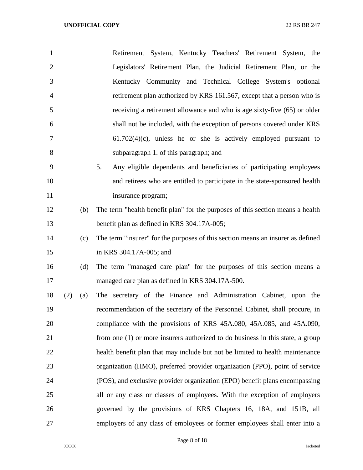| $\mathbf{1}$     | Retirement System, Kentucky Teachers' Retirement System, the                    |
|------------------|---------------------------------------------------------------------------------|
| $\overline{2}$   | Legislators' Retirement Plan, the Judicial Retirement Plan, or the              |
| 3                | Kentucky Community and Technical College System's optional                      |
| 4                | retirement plan authorized by KRS 161.567, except that a person who is          |
| 5                | receiving a retirement allowance and who is age sixty-five (65) or older        |
| 6                | shall not be included, with the exception of persons covered under KRS          |
| 7                | $61.702(4)(c)$ , unless he or she is actively employed pursuant to              |
| 8                | subparagraph 1. of this paragraph; and                                          |
| 9                | 5.<br>Any eligible dependents and beneficiaries of participating employees      |
| 10               | and retirees who are entitled to participate in the state-sponsored health      |
| 11               | insurance program;                                                              |
| 12<br>(b)        | The term "health benefit plan" for the purposes of this section means a health  |
| 13               | benefit plan as defined in KRS 304.17A-005;                                     |
| 14<br>(c)        | The term "insurer" for the purposes of this section means an insurer as defined |
| 15               | in KRS 304.17A-005; and                                                         |
| 16<br>(d)        | The term "managed care plan" for the purposes of this section means a           |
| 17               | managed care plan as defined in KRS 304.17A-500.                                |
| 18<br>(2)<br>(a) | The secretary of the Finance and Administration Cabinet, upon the               |
| 19               | recommendation of the secretary of the Personnel Cabinet, shall procure, in     |
| 20               | compliance with the provisions of KRS 45A.080, 45A.085, and 45A.090,            |
| 21               | from one (1) or more insurers authorized to do business in this state, a group  |
| 22               | health benefit plan that may include but not be limited to health maintenance   |
| 23               | organization (HMO), preferred provider organization (PPO), point of service     |
| 24               | (POS), and exclusive provider organization (EPO) benefit plans encompassing     |
| 25               | all or any class or classes of employees. With the exception of employers       |
| 26               | governed by the provisions of KRS Chapters 16, 18A, and 151B, all               |
| 27               | employers of any class of employees or former employees shall enter into a      |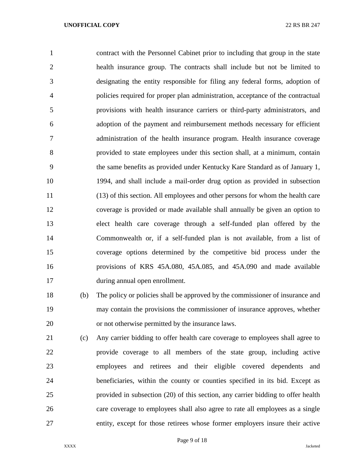contract with the Personnel Cabinet prior to including that group in the state health insurance group. The contracts shall include but not be limited to designating the entity responsible for filing any federal forms, adoption of policies required for proper plan administration, acceptance of the contractual provisions with health insurance carriers or third-party administrators, and adoption of the payment and reimbursement methods necessary for efficient administration of the health insurance program. Health insurance coverage provided to state employees under this section shall, at a minimum, contain the same benefits as provided under Kentucky Kare Standard as of January 1, 1994, and shall include a mail-order drug option as provided in subsection (13) of this section. All employees and other persons for whom the health care coverage is provided or made available shall annually be given an option to elect health care coverage through a self-funded plan offered by the Commonwealth or, if a self-funded plan is not available, from a list of coverage options determined by the competitive bid process under the provisions of KRS 45A.080, 45A.085, and 45A.090 and made available during annual open enrollment.

 (b) The policy or policies shall be approved by the commissioner of insurance and may contain the provisions the commissioner of insurance approves, whether or not otherwise permitted by the insurance laws.

 (c) Any carrier bidding to offer health care coverage to employees shall agree to provide coverage to all members of the state group, including active employees and retirees and their eligible covered dependents and beneficiaries, within the county or counties specified in its bid. Except as provided in subsection (20) of this section, any carrier bidding to offer health care coverage to employees shall also agree to rate all employees as a single entity, except for those retirees whose former employers insure their active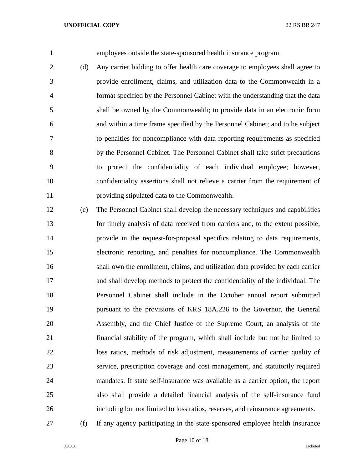employees outside the state-sponsored health insurance program.

 (d) Any carrier bidding to offer health care coverage to employees shall agree to provide enrollment, claims, and utilization data to the Commonwealth in a format specified by the Personnel Cabinet with the understanding that the data shall be owned by the Commonwealth; to provide data in an electronic form and within a time frame specified by the Personnel Cabinet; and to be subject to penalties for noncompliance with data reporting requirements as specified by the Personnel Cabinet. The Personnel Cabinet shall take strict precautions to protect the confidentiality of each individual employee; however, confidentiality assertions shall not relieve a carrier from the requirement of providing stipulated data to the Commonwealth.

- (e) The Personnel Cabinet shall develop the necessary techniques and capabilities for timely analysis of data received from carriers and, to the extent possible, provide in the request-for-proposal specifics relating to data requirements, electronic reporting, and penalties for noncompliance. The Commonwealth shall own the enrollment, claims, and utilization data provided by each carrier and shall develop methods to protect the confidentiality of the individual. The Personnel Cabinet shall include in the October annual report submitted pursuant to the provisions of KRS 18A.226 to the Governor, the General Assembly, and the Chief Justice of the Supreme Court, an analysis of the financial stability of the program, which shall include but not be limited to loss ratios, methods of risk adjustment, measurements of carrier quality of service, prescription coverage and cost management, and statutorily required mandates. If state self-insurance was available as a carrier option, the report also shall provide a detailed financial analysis of the self-insurance fund including but not limited to loss ratios, reserves, and reinsurance agreements.
- (f) If any agency participating in the state-sponsored employee health insurance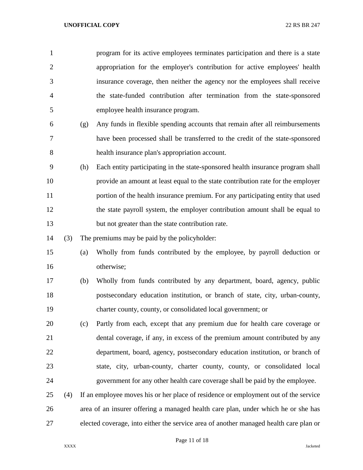| 1              |     |     | program for its active employees terminates participation and there is a state        |
|----------------|-----|-----|---------------------------------------------------------------------------------------|
| $\overline{2}$ |     |     | appropriation for the employer's contribution for active employees' health            |
| 3              |     |     | insurance coverage, then neither the agency nor the employees shall receive           |
| $\overline{4}$ |     |     | the state-funded contribution after termination from the state-sponsored              |
| 5              |     |     | employee health insurance program.                                                    |
| 6              |     | (g) | Any funds in flexible spending accounts that remain after all reimbursements          |
| 7              |     |     | have been processed shall be transferred to the credit of the state-sponsored         |
| 8              |     |     | health insurance plan's appropriation account.                                        |
| 9              |     | (h) | Each entity participating in the state-sponsored health insurance program shall       |
| 10             |     |     | provide an amount at least equal to the state contribution rate for the employer      |
| 11             |     |     | portion of the health insurance premium. For any participating entity that used       |
| 12             |     |     | the state payroll system, the employer contribution amount shall be equal to          |
| 13             |     |     | but not greater than the state contribution rate.                                     |
| 14             | (3) |     | The premiums may be paid by the policyholder:                                         |
| 15             |     | (a) | Wholly from funds contributed by the employee, by payroll deduction or                |
| 16             |     |     | otherwise;                                                                            |
| 17             |     | (b) | Wholly from funds contributed by any department, board, agency, public                |
| 18             |     |     | postsecondary education institution, or branch of state, city, urban-county,          |
| 19             |     |     | charter county, county, or consolidated local government; or                          |
| 20             |     | (c) | Partly from each, except that any premium due for health care coverage or             |
| 21             |     |     | dental coverage, if any, in excess of the premium amount contributed by any           |
| 22             |     |     | department, board, agency, postsecondary education institution, or branch of          |
| 23             |     |     | state, city, urban-county, charter county, county, or consolidated local              |
| 24             |     |     | government for any other health care coverage shall be paid by the employee.          |
| 25             | (4) |     | If an employee moves his or her place of residence or employment out of the service   |
| 26             |     |     | area of an insurer offering a managed health care plan, under which he or she has     |
| 27             |     |     | elected coverage, into either the service area of another managed health care plan or |

Page 11 of 18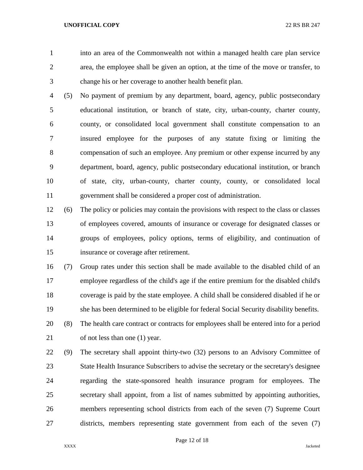- 
- into an area of the Commonwealth not within a managed health care plan service area, the employee shall be given an option, at the time of the move or transfer, to change his or her coverage to another health benefit plan.
- (5) No payment of premium by any department, board, agency, public postsecondary educational institution, or branch of state, city, urban-county, charter county, county, or consolidated local government shall constitute compensation to an insured employee for the purposes of any statute fixing or limiting the compensation of such an employee. Any premium or other expense incurred by any department, board, agency, public postsecondary educational institution, or branch of state, city, urban-county, charter county, county, or consolidated local government shall be considered a proper cost of administration.
- (6) The policy or policies may contain the provisions with respect to the class or classes of employees covered, amounts of insurance or coverage for designated classes or groups of employees, policy options, terms of eligibility, and continuation of insurance or coverage after retirement.
- (7) Group rates under this section shall be made available to the disabled child of an employee regardless of the child's age if the entire premium for the disabled child's coverage is paid by the state employee. A child shall be considered disabled if he or she has been determined to be eligible for federal Social Security disability benefits.
- (8) The health care contract or contracts for employees shall be entered into for a period of not less than one (1) year.
- (9) The secretary shall appoint thirty-two (32) persons to an Advisory Committee of State Health Insurance Subscribers to advise the secretary or the secretary's designee regarding the state-sponsored health insurance program for employees. The secretary shall appoint, from a list of names submitted by appointing authorities, members representing school districts from each of the seven (7) Supreme Court districts, members representing state government from each of the seven (7)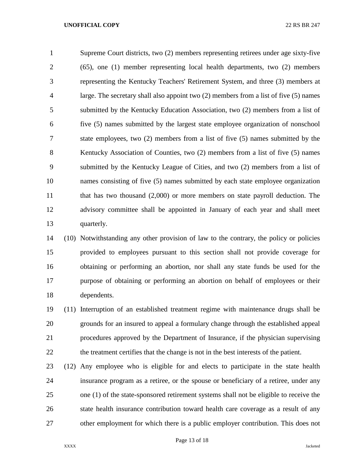Supreme Court districts, two (2) members representing retirees under age sixty-five (65), one (1) member representing local health departments, two (2) members representing the Kentucky Teachers' Retirement System, and three (3) members at large. The secretary shall also appoint two (2) members from a list of five (5) names submitted by the Kentucky Education Association, two (2) members from a list of five (5) names submitted by the largest state employee organization of nonschool state employees, two (2) members from a list of five (5) names submitted by the Kentucky Association of Counties, two (2) members from a list of five (5) names submitted by the Kentucky League of Cities, and two (2) members from a list of names consisting of five (5) names submitted by each state employee organization 11 that has two thousand (2,000) or more members on state payroll deduction. The advisory committee shall be appointed in January of each year and shall meet quarterly.

 (10) Notwithstanding any other provision of law to the contrary, the policy or policies provided to employees pursuant to this section shall not provide coverage for obtaining or performing an abortion, nor shall any state funds be used for the purpose of obtaining or performing an abortion on behalf of employees or their dependents.

 (11) Interruption of an established treatment regime with maintenance drugs shall be grounds for an insured to appeal a formulary change through the established appeal procedures approved by the Department of Insurance, if the physician supervising the treatment certifies that the change is not in the best interests of the patient.

 (12) Any employee who is eligible for and elects to participate in the state health insurance program as a retiree, or the spouse or beneficiary of a retiree, under any one (1) of the state-sponsored retirement systems shall not be eligible to receive the state health insurance contribution toward health care coverage as a result of any other employment for which there is a public employer contribution. This does not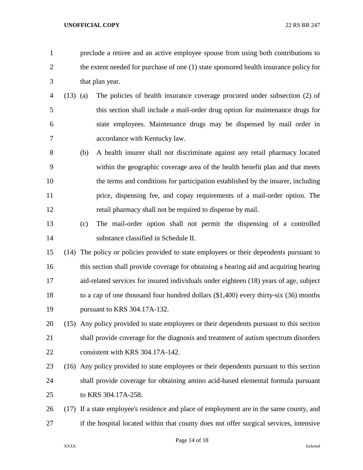preclude a retiree and an active employee spouse from using both contributions to 2 the extent needed for purchase of one (1) state sponsored health insurance policy for that plan year.

- (13) (a) The policies of health insurance coverage procured under subsection (2) of this section shall include a mail-order drug option for maintenance drugs for state employees. Maintenance drugs may be dispensed by mail order in accordance with Kentucky law.
- (b) A health insurer shall not discriminate against any retail pharmacy located within the geographic coverage area of the health benefit plan and that meets the terms and conditions for participation established by the insurer, including price, dispensing fee, and copay requirements of a mail-order option. The retail pharmacy shall not be required to dispense by mail.
- (c) The mail-order option shall not permit the dispensing of a controlled substance classified in Schedule II.
- (14) The policy or policies provided to state employees or their dependents pursuant to this section shall provide coverage for obtaining a hearing aid and acquiring hearing aid-related services for insured individuals under eighteen (18) years of age, subject to a cap of one thousand four hundred dollars (\$1,400) every thirty-six (36) months pursuant to KRS 304.17A-132.
- (15) Any policy provided to state employees or their dependents pursuant to this section shall provide coverage for the diagnosis and treatment of autism spectrum disorders 22 consistent with KRS 304.17A-142.
- (16) Any policy provided to state employees or their dependents pursuant to this section shall provide coverage for obtaining amino acid-based elemental formula pursuant to KRS 304.17A-258.
- (17) If a state employee's residence and place of employment are in the same county, and if the hospital located within that county does not offer surgical services, intensive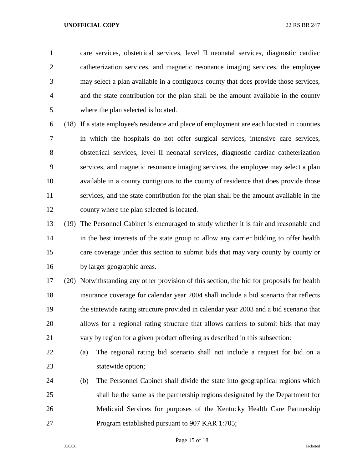care services, obstetrical services, level II neonatal services, diagnostic cardiac catheterization services, and magnetic resonance imaging services, the employee may select a plan available in a contiguous county that does provide those services, and the state contribution for the plan shall be the amount available in the county where the plan selected is located.

 (18) If a state employee's residence and place of employment are each located in counties in which the hospitals do not offer surgical services, intensive care services, obstetrical services, level II neonatal services, diagnostic cardiac catheterization services, and magnetic resonance imaging services, the employee may select a plan available in a county contiguous to the county of residence that does provide those services, and the state contribution for the plan shall be the amount available in the county where the plan selected is located.

 (19) The Personnel Cabinet is encouraged to study whether it is fair and reasonable and in the best interests of the state group to allow any carrier bidding to offer health care coverage under this section to submit bids that may vary county by county or by larger geographic areas.

 (20) Notwithstanding any other provision of this section, the bid for proposals for health insurance coverage for calendar year 2004 shall include a bid scenario that reflects the statewide rating structure provided in calendar year 2003 and a bid scenario that allows for a regional rating structure that allows carriers to submit bids that may vary by region for a given product offering as described in this subsection:

- (a) The regional rating bid scenario shall not include a request for bid on a statewide option;
- (b) The Personnel Cabinet shall divide the state into geographical regions which shall be the same as the partnership regions designated by the Department for Medicaid Services for purposes of the Kentucky Health Care Partnership Program established pursuant to 907 KAR 1:705;

Page 15 of 18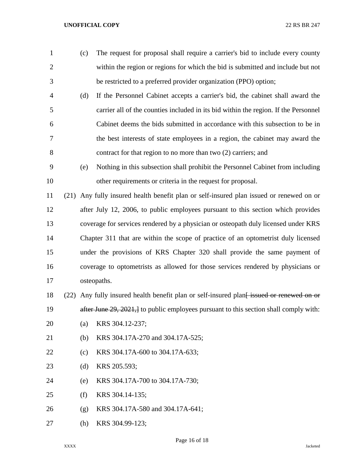(c) The request for proposal shall require a carrier's bid to include every county within the region or regions for which the bid is submitted and include but not be restricted to a preferred provider organization (PPO) option; (d) If the Personnel Cabinet accepts a carrier's bid, the cabinet shall award the carrier all of the counties included in its bid within the region. If the Personnel Cabinet deems the bids submitted in accordance with this subsection to be in the best interests of state employees in a region, the cabinet may award the contract for that region to no more than two (2) carriers; and (e) Nothing in this subsection shall prohibit the Personnel Cabinet from including other requirements or criteria in the request for proposal. (21) Any fully insured health benefit plan or self-insured plan issued or renewed on or after July 12, 2006, to public employees pursuant to this section which provides coverage for services rendered by a physician or osteopath duly licensed under KRS Chapter 311 that are within the scope of practice of an optometrist duly licensed under the provisions of KRS Chapter 320 shall provide the same payment of coverage to optometrists as allowed for those services rendered by physicians or osteopaths. 18 (22) Any fully insured health benefit plan or self-insured plan<del> issued or renewed on or</del> 19 after June 29, 2021, to public employees pursuant to this section shall comply with: (a) KRS 304.12-237; (b) KRS 304.17A-270 and 304.17A-525; (c) KRS 304.17A-600 to 304.17A-633; (d) KRS 205.593; (e) KRS 304.17A-700 to 304.17A-730; (f) KRS 304.14-135; (g) KRS 304.17A-580 and 304.17A-641; (h) KRS 304.99-123;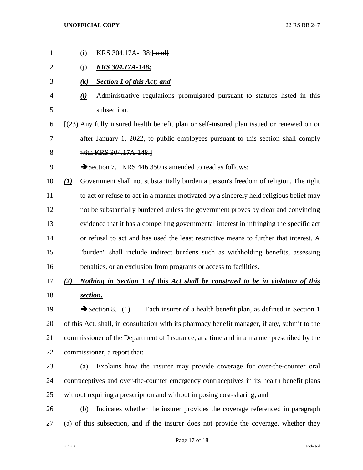| $\mathbf{1}$ | (i)                        |                   | KRS 304.17A-138;[and]                                                                        |
|--------------|----------------------------|-------------------|----------------------------------------------------------------------------------------------|
| 2            | (j)                        |                   | <b>KRS 304.17A-148;</b>                                                                      |
| 3            |                            | $\left( k\right)$ | <b>Section 1 of this Act; and</b>                                                            |
| 4            | $\underline{(\mathbf{l})}$ |                   | Administrative regulations promulgated pursuant to statutes listed in this                   |
| 5            |                            |                   | subsection.                                                                                  |
| 6            |                            |                   | $[(23)$ Any fully insured health benefit plan or self-insured plan issued or renewed on or   |
| 7            |                            |                   | after January 1, 2022, to public employees pursuant to this section shall comply             |
| 8            |                            |                   | with KRS 304.17A-148.                                                                        |
| 9            |                            |                   | Section 7. KRS 446.350 is amended to read as follows:                                        |
| 10           | $\underline{(\mathbf{I})}$ |                   | Government shall not substantially burden a person's freedom of religion. The right          |
| 11           |                            |                   | to act or refuse to act in a manner motivated by a sincerely held religious belief may       |
| 12           |                            |                   | not be substantially burdened unless the government proves by clear and convincing           |
| 13           |                            |                   | evidence that it has a compelling governmental interest in infringing the specific act       |
| 14           |                            |                   | or refusal to act and has used the least restrictive means to further that interest. A       |
| 15           |                            |                   | "burden" shall include indirect burdens such as withholding benefits, assessing              |
| 16           |                            |                   | penalties, or an exclusion from programs or access to facilities.                            |
| 17           | (2)                        |                   | Nothing in Section 1 of this Act shall be construed to be in violation of this               |
| 18           |                            | section.          |                                                                                              |
| 19           |                            |                   | Each insurer of a health benefit plan, as defined in Section 1<br>Section 8. $(1)$           |
| 20           |                            |                   | of this Act, shall, in consultation with its pharmacy benefit manager, if any, submit to the |
| 21           |                            |                   | commissioner of the Department of Insurance, at a time and in a manner prescribed by the     |
| 22           |                            |                   | commissioner, a report that:                                                                 |
| າາ           |                            |                   |                                                                                              |

- (a) Explains how the insurer may provide coverage for over-the-counter oral contraceptives and over-the-counter emergency contraceptives in its health benefit plans without requiring a prescription and without imposing cost-sharing; and
- (b) Indicates whether the insurer provides the coverage referenced in paragraph (a) of this subsection, and if the insurer does not provide the coverage, whether they